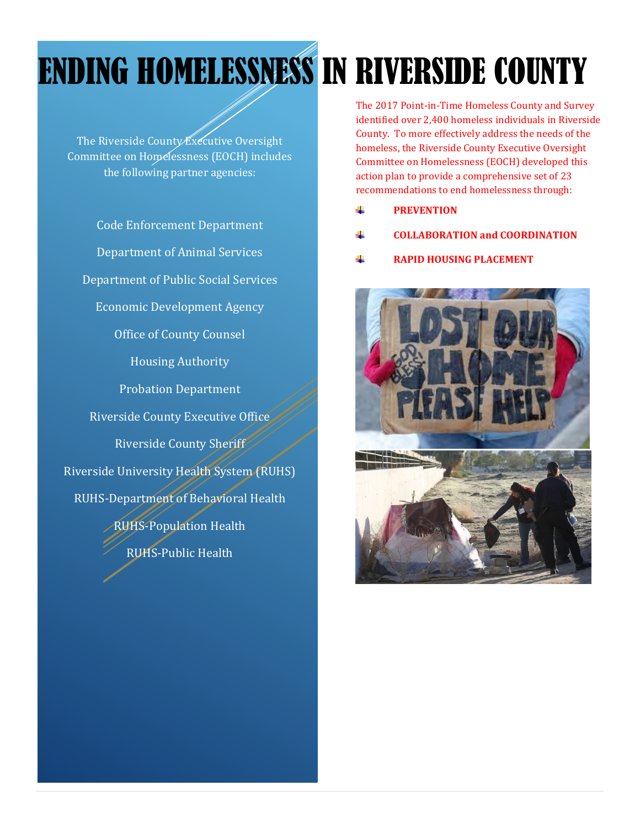# ENDING HOMELESSNESS IN RIVERSIDE COUNTY

The Riverside County Executive Oversight Committee on Homelessness (EOCH) includes the following partner agencies:

Code Enforcement Department Department of Animal Services Department of Public Social Services Economic Development Agency Office of County Counsel Housing Authority Probation Department Riverside County Executive Office Riverside County Sheriff Riverside University Health System (RUHS) RUHS-Department of Behavioral Health RUHS-Population Health RUHS-Public Health

The 2017 Point-in-Time Homeless County and Survey identified over 2,400 homeless individuals in Riverside County. To more effectively address the needs of the homeless, the Riverside County Executive Oversight Committee on Homelessness (EOCH) developed this action plan to provide a comprehensive set of 23 recommendations to end homelessness through:

- d. **PREVENTION**
- **COLLABORATION and COORDINATION**
- **RAPID HOUSING PLACEMENT**

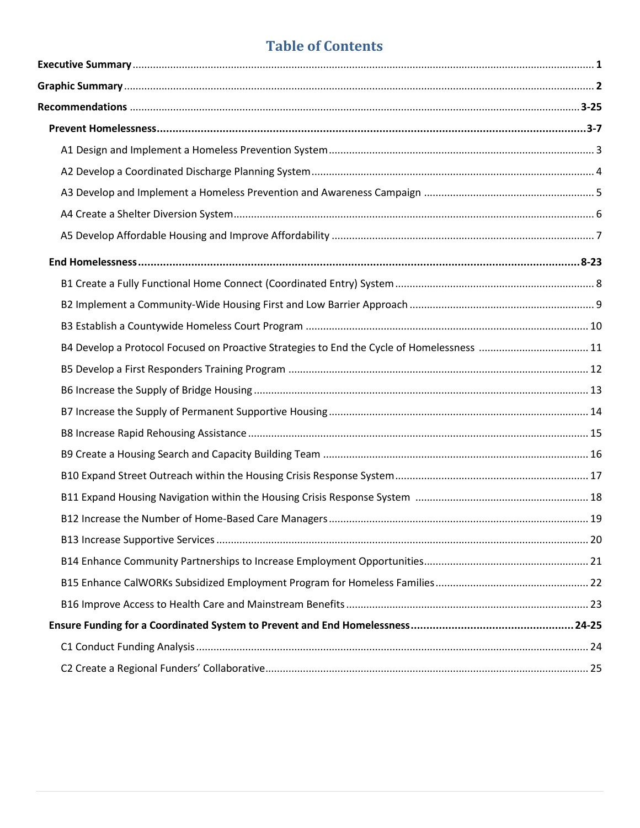## **Table of Contents**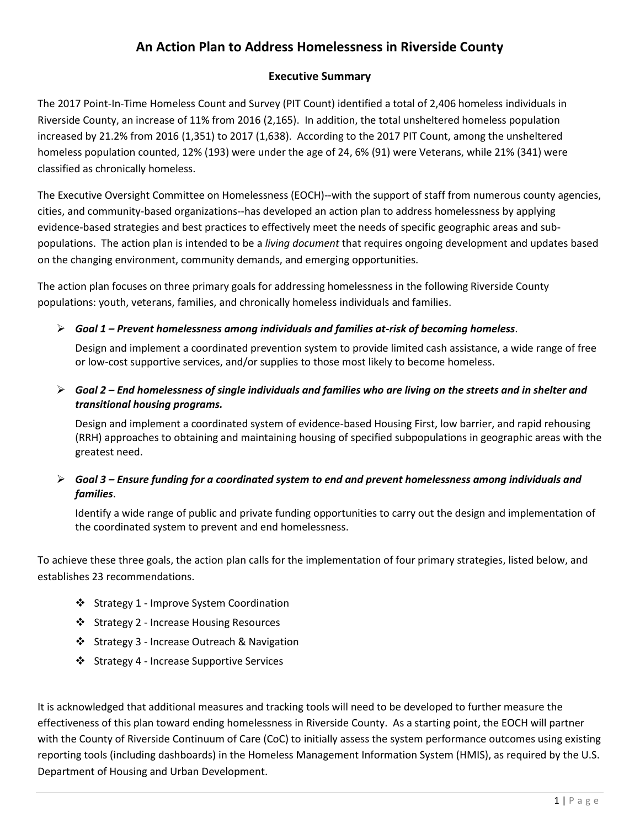## **An Action Plan to Address Homelessness in Riverside County**

## **Executive Summary**

The 2017 Point-In-Time Homeless Count and Survey (PIT Count) identified a total of 2,406 homeless individuals in Riverside County, an increase of 11% from 2016 (2,165). In addition, the total unsheltered homeless population increased by 21.2% from 2016 (1,351) to 2017 (1,638). According to the 2017 PIT Count, among the unsheltered homeless population counted, 12% (193) were under the age of 24, 6% (91) were Veterans, while 21% (341) were classified as chronically homeless.

The Executive Oversight Committee on Homelessness (EOCH)--with the support of staff from numerous county agencies, cities, and community-based organizations--has developed an action plan to address homelessness by applying evidence-based strategies and best practices to effectively meet the needs of specific geographic areas and subpopulations. The action plan is intended to be a *living document* that requires ongoing development and updates based on the changing environment, community demands, and emerging opportunities.

The action plan focuses on three primary goals for addressing homelessness in the following Riverside County populations: youth, veterans, families, and chronically homeless individuals and families.

*Goal 1 – Prevent homelessness among individuals and families at-risk of becoming homeless*.

Design and implement a coordinated prevention system to provide limited cash assistance, a wide range of free or low-cost supportive services, and/or supplies to those most likely to become homeless.

 *Goal 2 – End homelessness of single individuals and families who are living on the streets and in shelter and transitional housing programs.*

Design and implement a coordinated system of evidence-based Housing First, low barrier, and rapid rehousing (RRH) approaches to obtaining and maintaining housing of specified subpopulations in geographic areas with the greatest need.

## *Goal 3 – Ensure funding for a coordinated system to end and prevent homelessness among individuals and families*.

Identify a wide range of public and private funding opportunities to carry out the design and implementation of the coordinated system to prevent and end homelessness.

To achieve these three goals, the action plan calls for the implementation of four primary strategies, listed below, and establishes 23 recommendations.

- Strategy 1 Improve System Coordination
- ❖ Strategy 2 Increase Housing Resources
- Strategy 3 Increase Outreach & Navigation
- ❖ Strategy 4 Increase Supportive Services

It is acknowledged that additional measures and tracking tools will need to be developed to further measure the effectiveness of this plan toward ending homelessness in Riverside County. As a starting point, the EOCH will partner with the County of Riverside Continuum of Care (CoC) to initially assess the system performance outcomes using existing reporting tools (including dashboards) in the Homeless Management Information System (HMIS), as required by the U.S. Department of Housing and Urban Development.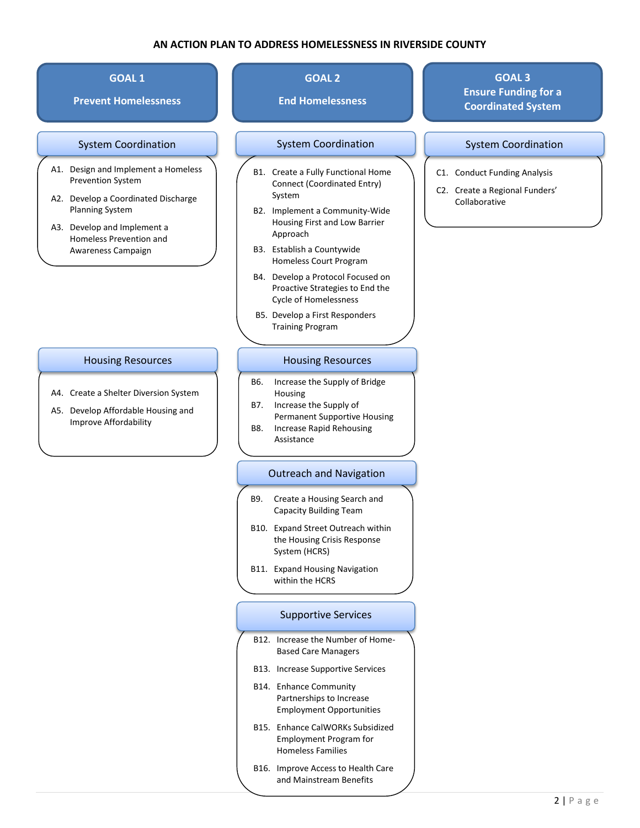#### **AN ACTION PLAN TO ADDRESS HOMELESSNESS IN RIVERSIDE COUNTY**

#### **GOAL 1**

**Prevent Homelessness**

#### System Coordination

- A1. Design and Implement a Homeless Prevention System
- A2. Develop a Coordinated Discharge Planning System
- A3. Develop and Implement a Homeless Prevention and Awareness Campaign

#### Housing Resources

- A4. Create a Shelter Diversion System
- A5. Develop Affordable Housing and Improve Affordability

## **GOAL 2**

### **End Homelessness**

#### System Coordination **System Coordination**

- B1. Create a Fully Functional Home Connect (Coordinated Entry) System
- B2. Implement a Community-Wide Housing First and Low Barrier Approach
- B3. Establish a Countywide Homeless Court Program
- B4. Develop a Protocol Focused on Proactive Strategies to End the Cycle of Homelessness
- B5. Develop a First Responders Training Program

#### Housing Resources

- B6. Increase the Supply of Bridge Housing
- B7. Increase the Supply of Permanent Supportive Housing
- B8. Increase Rapid Rehousing Assistance

#### Outreach and Navigation

- B9. Create a Housing Search and Capacity Building Team
- B10. Expand Street Outreach within the Housing Crisis Response System (HCRS)
- B11. Expand Housing Navigation within the HCRS

#### Supportive Services

- B12. Increase the Number of Home-Based Care Managers
- B13. Increase Supportive Services
- B14. Enhance Community Partnerships to Increase Employment Opportunities
- B15. Enhance CalWORKs Subsidized Employment Program for Homeless Families
- B16. Improve Access to Health Care and Mainstream Benefits

## **GOAL 3 Ensure Funding for a Coordinated System**

- C1. Conduct Funding Analysis
- C2. Create a Regional Funders' Collaborative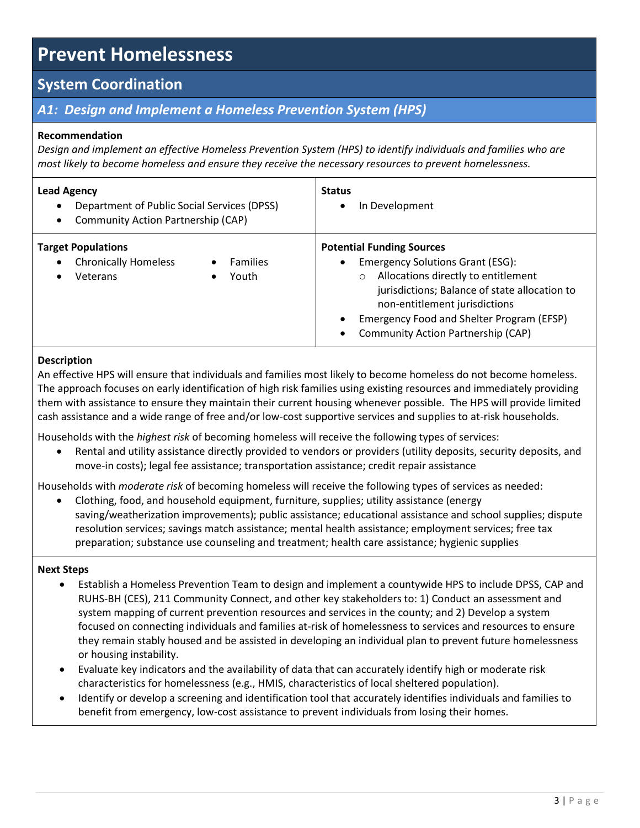## **System Coordination**

## *A1: Design and Implement a Homeless Prevention System (HPS)*

### **Recommendation**

*Design and implement an effective Homeless Prevention System (HPS) to identify individuals and families who are most likely to become homeless and ensure they receive the necessary resources to prevent homelessness.* 

| <b>Lead Agency</b><br>Department of Public Social Services (DPSS)<br>$\bullet$<br>Community Action Partnership (CAP)<br>$\bullet$ | <b>Status</b><br>In Development                                                                                                                                                                                                                                                                                 |
|-----------------------------------------------------------------------------------------------------------------------------------|-----------------------------------------------------------------------------------------------------------------------------------------------------------------------------------------------------------------------------------------------------------------------------------------------------------------|
| <b>Target Populations</b><br><b>Chronically Homeless</b><br><b>Families</b><br>$\bullet$<br>Youth<br>Veterans<br>$\bullet$        | <b>Potential Funding Sources</b><br><b>Emergency Solutions Grant (ESG):</b><br>$\bullet$<br>Allocations directly to entitlement<br>$\circ$<br>jurisdictions; Balance of state allocation to<br>non-entitlement jurisdictions<br>Emergency Food and Shelter Program (EFSP)<br>Community Action Partnership (CAP) |

#### **Description**

An effective HPS will ensure that individuals and families most likely to become homeless do not become homeless. The approach focuses on early identification of high risk families using existing resources and immediately providing them with assistance to ensure they maintain their current housing whenever possible. The HPS will provide limited cash assistance and a wide range of free and/or low-cost supportive services and supplies to at-risk households.

Households with the *highest risk* of becoming homeless will receive the following types of services:

 Rental and utility assistance directly provided to vendors or providers (utility deposits, security deposits, and move-in costs); legal fee assistance; transportation assistance; credit repair assistance

Households with *moderate risk* of becoming homeless will receive the following types of services as needed:

 Clothing, food, and household equipment, furniture, supplies; utility assistance (energy saving/weatherization improvements); public assistance; educational assistance and school supplies; dispute resolution services; savings match assistance; mental health assistance; employment services; free tax preparation; substance use counseling and treatment; health care assistance; hygienic supplies

- Establish a Homeless Prevention Team to design and implement a countywide HPS to include DPSS, CAP and RUHS-BH (CES), 211 Community Connect, and other key stakeholders to: 1) Conduct an assessment and system mapping of current prevention resources and services in the county; and 2) Develop a system focused on connecting individuals and families at-risk of homelessness to services and resources to ensure they remain stably housed and be assisted in developing an individual plan to prevent future homelessness or housing instability.
- Evaluate key indicators and the availability of data that can accurately identify high or moderate risk characteristics for homelessness (e.g., HMIS, characteristics of local sheltered population).
- Identify or develop a screening and identification tool that accurately identifies individuals and families to benefit from emergency, low-cost assistance to prevent individuals from losing their homes.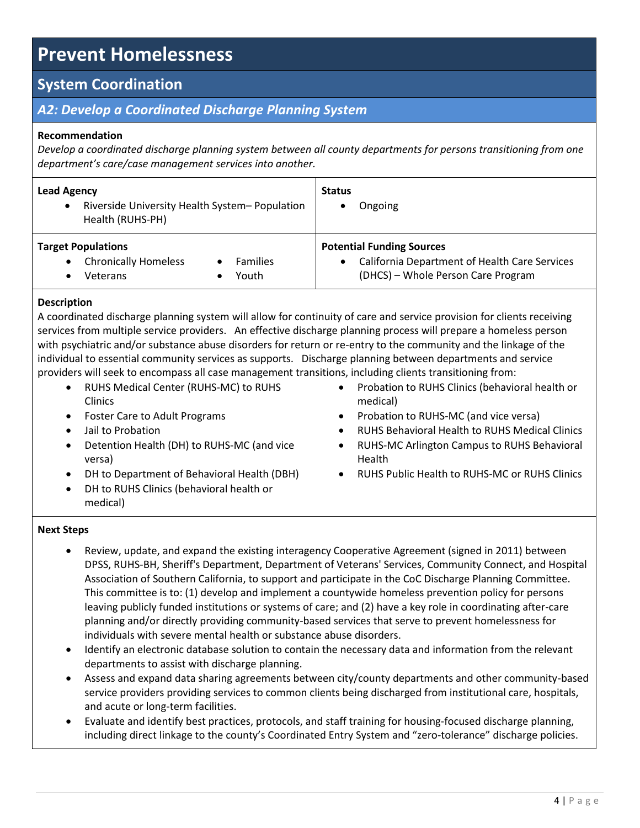## **System Coordination**

## *A2: Develop a Coordinated Discharge Planning System*

### **Recommendation**

*Develop a coordinated discharge planning system between all county departments for persons transitioning from one department's care/case management services into another.*

| <b>Lead Agency</b><br>Riverside University Health System-Population<br>$\bullet$<br>Health (RUHS-PH)               | <b>Status</b><br>Ongoing                                                                                                |
|--------------------------------------------------------------------------------------------------------------------|-------------------------------------------------------------------------------------------------------------------------|
| <b>Target Populations</b><br><b>Chronically Homeless</b><br><b>Families</b><br>$\bullet$<br>Youth<br>Veterans<br>٠ | <b>Potential Funding Sources</b><br>California Department of Health Care Services<br>(DHCS) - Whole Person Care Program |

### **Description**

A coordinated discharge planning system will allow for continuity of care and service provision for clients receiving services from multiple service providers. An effective discharge planning process will prepare a homeless person with psychiatric and/or substance abuse disorders for return or re-entry to the community and the linkage of the individual to essential community services as supports. Discharge planning between departments and service providers will seek to encompass all case management transitions, including clients transitioning from:

- RUHS Medical Center (RUHS-MC) to RUHS Clinics
- Foster Care to Adult Programs
- Jail to Probation
- Detention Health (DH) to RUHS-MC (and vice versa)
- DH to Department of Behavioral Health (DBH)
- DH to RUHS Clinics (behavioral health or medical)
- Probation to RUHS Clinics (behavioral health or medical)
- Probation to RUHS-MC (and vice versa)
- RUHS Behavioral Health to RUHS Medical Clinics
- RUHS-MC Arlington Campus to RUHS Behavioral Health
- RUHS Public Health to RUHS-MC or RUHS Clinics

- Review, update, and expand the existing interagency Cooperative Agreement (signed in 2011) between DPSS, RUHS-BH, Sheriff's Department, Department of Veterans' Services, Community Connect, and Hospital Association of Southern California, to support and participate in the CoC Discharge Planning Committee. This committee is to: (1) develop and implement a countywide homeless prevention policy for persons leaving publicly funded institutions or systems of care; and (2) have a key role in coordinating after-care planning and/or directly providing community-based services that serve to prevent homelessness for individuals with severe mental health or substance abuse disorders.
- Identify an electronic database solution to contain the necessary data and information from the relevant departments to assist with discharge planning.
- Assess and expand data sharing agreements between city/county departments and other community-based service providers providing services to common clients being discharged from institutional care, hospitals, and acute or long-term facilities.
- Evaluate and identify best practices, protocols, and staff training for housing-focused discharge planning, including direct linkage to the county's Coordinated Entry System and "zero-tolerance" discharge policies.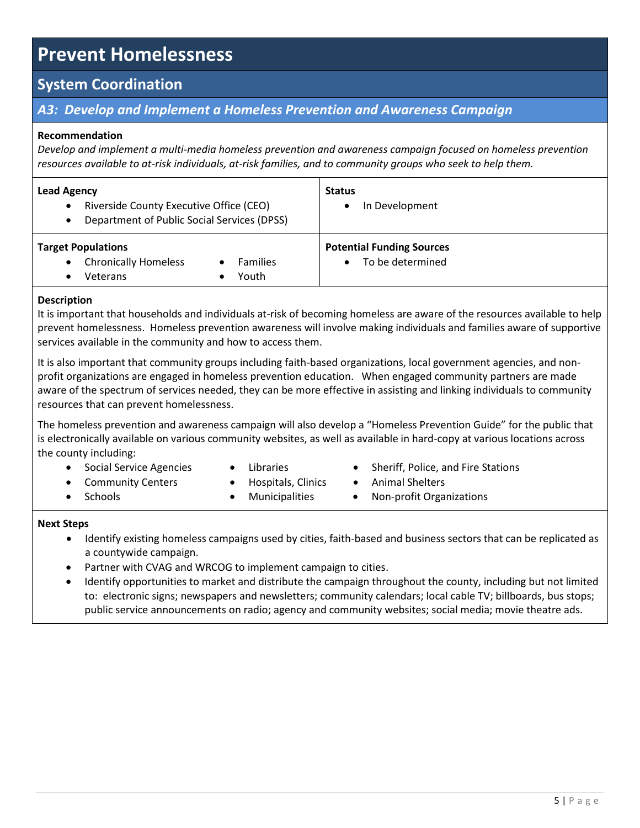## **System Coordination**

## *A3: Develop and Implement a Homeless Prevention and Awareness Campaign*

#### **Recommendation**

*Develop and implement a multi-media homeless prevention and awareness campaign focused on homeless prevention resources available to at-risk individuals, at-risk families, and to community groups who seek to help them.*

| <b>Lead Agency</b><br>Riverside County Executive Office (CEO)<br>$\bullet$<br>Department of Public Social Services (DPSS)<br>$\bullet$ | <b>Status</b><br>In Development                      |
|----------------------------------------------------------------------------------------------------------------------------------------|------------------------------------------------------|
| <b>Target Populations</b><br><b>Chronically Homeless</b><br><b>Families</b><br>$\bullet$<br>Youth<br>Veterans                          | <b>Potential Funding Sources</b><br>To be determined |

### **Description**

It is important that households and individuals at-risk of becoming homeless are aware of the resources available to help prevent homelessness. Homeless prevention awareness will involve making individuals and families aware of supportive services available in the community and how to access them.

It is also important that community groups including faith-based organizations, local government agencies, and nonprofit organizations are engaged in homeless prevention education. When engaged community partners are made aware of the spectrum of services needed, they can be more effective in assisting and linking individuals to community resources that can prevent homelessness.

The homeless prevention and awareness campaign will also develop a "Homeless Prevention Guide" for the public that is electronically available on various community websites, as well as available in hard-copy at various locations across the county including:

- Social Service Agencies
- Libraries
- Community Centers

**Schools** 

- Hospitals, Clinics Municipalities
- Sheriff, Police, and Fire Stations
- Animal Shelters
- Non-profit Organizations

- Identify existing homeless campaigns used by cities, faith-based and business sectors that can be replicated as a countywide campaign.
- Partner with CVAG and WRCOG to implement campaign to cities.
- Identify opportunities to market and distribute the campaign throughout the county, including but not limited to: electronic signs; newspapers and newsletters; community calendars; local cable TV; billboards, bus stops; public service announcements on radio; agency and community websites; social media; movie theatre ads.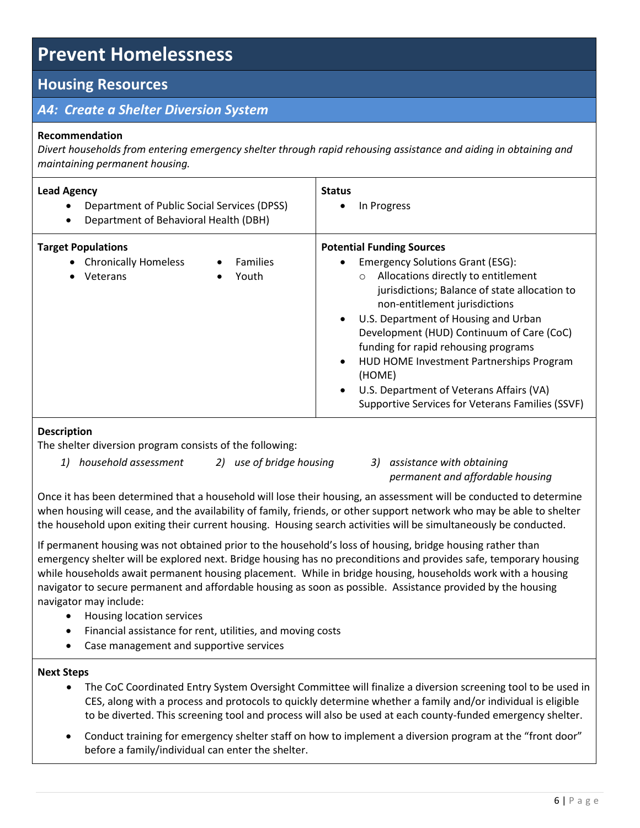## **Housing Resources**

## *A4: Create a Shelter Diversion System*

#### **Recommendation**

*Divert households from entering emergency shelter through rapid rehousing assistance and aiding in obtaining and maintaining permanent housing.*

| <b>Lead Agency</b><br>Department of Public Social Services (DPSS)<br>٠<br>Department of Behavioral Health (DBH)<br>٠ | <b>Status</b><br>In Progress                                                                                                                                                                                                                                                                                                                                                                                                                                                                            |
|----------------------------------------------------------------------------------------------------------------------|---------------------------------------------------------------------------------------------------------------------------------------------------------------------------------------------------------------------------------------------------------------------------------------------------------------------------------------------------------------------------------------------------------------------------------------------------------------------------------------------------------|
| <b>Target Populations</b><br>• Chronically Homeless<br><b>Families</b><br>Youth<br>Veterans                          | <b>Potential Funding Sources</b><br><b>Emergency Solutions Grant (ESG):</b><br>Allocations directly to entitlement<br>$\circ$<br>jurisdictions; Balance of state allocation to<br>non-entitlement jurisdictions<br>U.S. Department of Housing and Urban<br>Development (HUD) Continuum of Care (CoC)<br>funding for rapid rehousing programs<br>HUD HOME Investment Partnerships Program<br>(HOME)<br>U.S. Department of Veterans Affairs (VA)<br>٠<br>Supportive Services for Veterans Families (SSVF) |

## **Description**

The shelter diversion program consists of the following:

*1) household assessment 2) use of bridge housing 3) assistance with obtaining* 

*permanent and affordable housing*

Once it has been determined that a household will lose their housing, an assessment will be conducted to determine when housing will cease, and the availability of family, friends, or other support network who may be able to shelter the household upon exiting their current housing. Housing search activities will be simultaneously be conducted.

If permanent housing was not obtained prior to the household's loss of housing, bridge housing rather than emergency shelter will be explored next. Bridge housing has no preconditions and provides safe, temporary housing while households await permanent housing placement. While in bridge housing, households work with a housing navigator to secure permanent and affordable housing as soon as possible. Assistance provided by the housing navigator may include:

- Housing location services
- Financial assistance for rent, utilities, and moving costs
- Case management and supportive services

- The CoC Coordinated Entry System Oversight Committee will finalize a diversion screening tool to be used in CES, along with a process and protocols to quickly determine whether a family and/or individual is eligible to be diverted. This screening tool and process will also be used at each county-funded emergency shelter.
- Conduct training for emergency shelter staff on how to implement a diversion program at the "front door" before a family/individual can enter the shelter.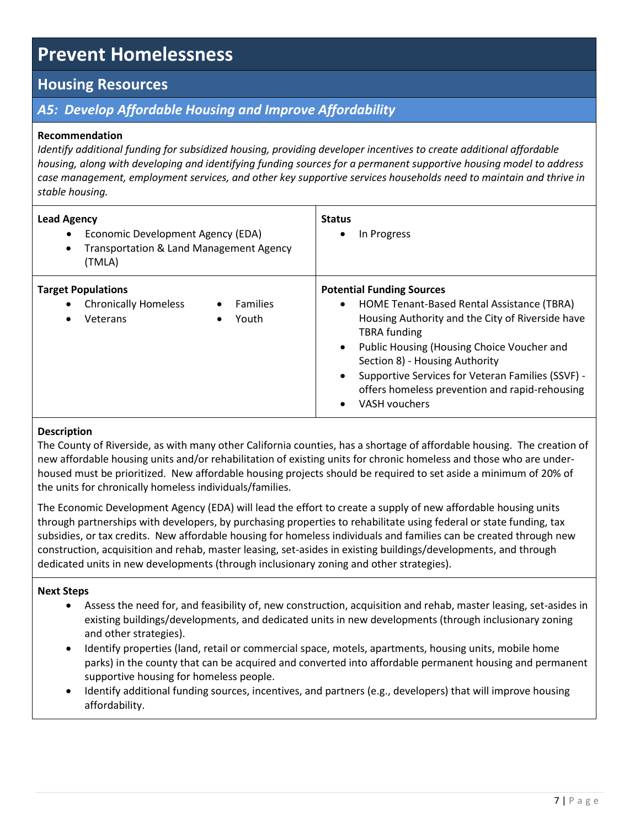## **Housing Resources**

## *A5: Develop Affordable Housing and Improve Affordability*

### **Recommendation**

*Identify additional funding for subsidized housing, providing developer incentives to create additional affordable housing, along with developing and identifying funding sources for a permanent supportive housing model to address case management, employment services, and other key supportive services households need to maintain and thrive in stable housing.*

| <b>Lead Agency</b><br>Economic Development Agency (EDA)<br>Transportation & Land Management Agency<br>$\bullet$<br>(TMLA) | <b>Status</b><br>In Progress                                                                                                                                                                                                                                                                                                                                                          |
|---------------------------------------------------------------------------------------------------------------------------|---------------------------------------------------------------------------------------------------------------------------------------------------------------------------------------------------------------------------------------------------------------------------------------------------------------------------------------------------------------------------------------|
| <b>Target Populations</b><br><b>Chronically Homeless</b><br><b>Families</b><br>Youth<br>Veterans<br>$\bullet$             | <b>Potential Funding Sources</b><br>HOME Tenant-Based Rental Assistance (TBRA)<br>$\bullet$<br>Housing Authority and the City of Riverside have<br><b>TBRA</b> funding<br>Public Housing (Housing Choice Voucher and<br>Section 8) - Housing Authority<br>Supportive Services for Veteran Families (SSVF) -<br>offers homeless prevention and rapid-rehousing<br><b>VASH vouchers</b> |

#### **Description**

The County of Riverside, as with many other California counties, has a shortage of affordable housing. The creation of new affordable housing units and/or rehabilitation of existing units for chronic homeless and those who are underhoused must be prioritized. New affordable housing projects should be required to set aside a minimum of 20% of the units for chronically homeless individuals/families.

The Economic Development Agency (EDA) will lead the effort to create a supply of new affordable housing units through partnerships with developers, by purchasing properties to rehabilitate using federal or state funding, tax subsidies, or tax credits. New affordable housing for homeless individuals and families can be created through new construction, acquisition and rehab, master leasing, set-asides in existing buildings/developments, and through dedicated units in new developments (through inclusionary zoning and other strategies).

- Assess the need for, and feasibility of, new construction, acquisition and rehab, master leasing, set-asides in existing buildings/developments, and dedicated units in new developments (through inclusionary zoning and other strategies).
- Identify properties (land, retail or commercial space, motels, apartments, housing units, mobile home parks) in the county that can be acquired and converted into affordable permanent housing and permanent supportive housing for homeless people.
- Identify additional funding sources, incentives, and partners (e.g., developers) that will improve housing affordability.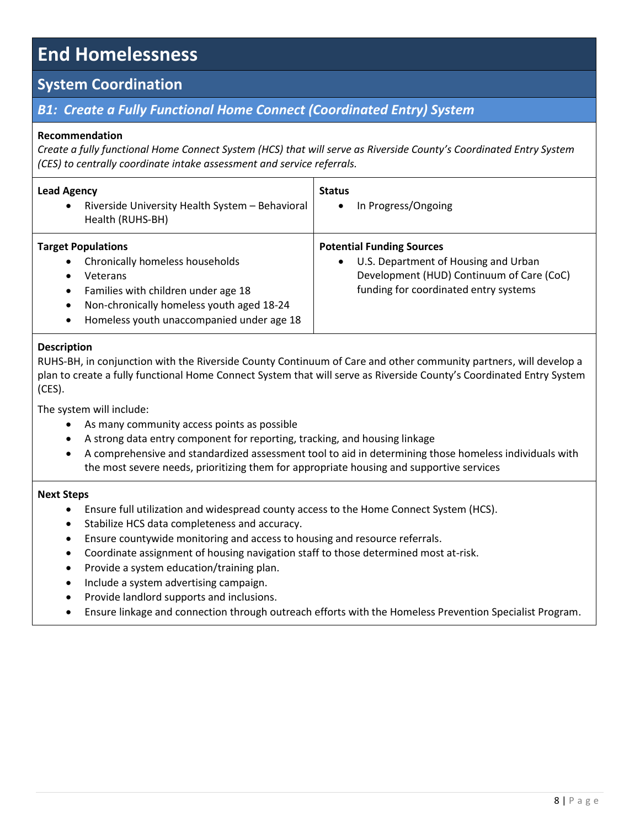## **System Coordination**

## *B1: Create a Fully Functional Home Connect (Coordinated Entry) System*

### **Recommendation**

*Create a fully functional Home Connect System (HCS) that will serve as Riverside County's Coordinated Entry System (CES) to centrally coordinate intake assessment and service referrals.*

| <b>Lead Agency</b><br>Riverside University Health System - Behavioral<br>$\bullet$<br>Health (RUHS-BH)                                                                                                                                                                     | <b>Status</b><br>In Progress/Ongoing                                                                                                                           |
|----------------------------------------------------------------------------------------------------------------------------------------------------------------------------------------------------------------------------------------------------------------------------|----------------------------------------------------------------------------------------------------------------------------------------------------------------|
| <b>Target Populations</b><br>Chronically homeless households<br>$\bullet$<br>Veterans<br>$\bullet$<br>Families with children under age 18<br>$\bullet$<br>Non-chronically homeless youth aged 18-24<br>$\bullet$<br>Homeless youth unaccompanied under age 18<br>$\bullet$ | <b>Potential Funding Sources</b><br>U.S. Department of Housing and Urban<br>Development (HUD) Continuum of Care (CoC)<br>funding for coordinated entry systems |

#### **Description**

RUHS-BH, in conjunction with the Riverside County Continuum of Care and other community partners, will develop a plan to create a fully functional Home Connect System that will serve as Riverside County's Coordinated Entry System (CES).

The system will include:

- As many community access points as possible
- A strong data entry component for reporting, tracking, and housing linkage
- A comprehensive and standardized assessment tool to aid in determining those homeless individuals with the most severe needs, prioritizing them for appropriate housing and supportive services

- Ensure full utilization and widespread county access to the Home Connect System (HCS).
- Stabilize HCS data completeness and accuracy.
- Ensure countywide monitoring and access to housing and resource referrals.
- Coordinate assignment of housing navigation staff to those determined most at-risk.
- Provide a system education/training plan.
- Include a system advertising campaign.
- Provide landlord supports and inclusions.
- Ensure linkage and connection through outreach efforts with the Homeless Prevention Specialist Program.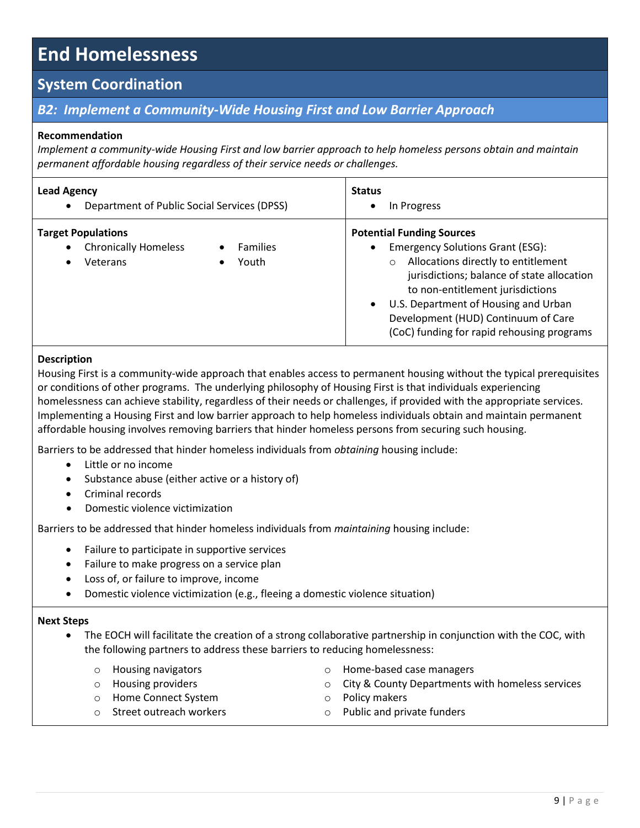## **System Coordination**

## *B2: Implement a Community-Wide Housing First and Low Barrier Approach*

#### **Recommendation**

*Implement a community-wide Housing First and low barrier approach to help homeless persons obtain and maintain permanent affordable housing regardless of their service needs or challenges.*

| <b>Lead Agency</b><br>Department of Public Social Services (DPSS)<br>$\bullet$                 |                               | <b>Status</b><br>In Progress                                                                                                                                                                                                                                                                                                                   |
|------------------------------------------------------------------------------------------------|-------------------------------|------------------------------------------------------------------------------------------------------------------------------------------------------------------------------------------------------------------------------------------------------------------------------------------------------------------------------------------------|
| <b>Target Populations</b><br><b>Chronically Homeless</b><br>$\bullet$<br>Veterans<br>$\bullet$ | <b>Families</b><br>Youth<br>٠ | <b>Potential Funding Sources</b><br><b>Emergency Solutions Grant (ESG):</b><br>Allocations directly to entitlement<br>jurisdictions; balance of state allocation<br>to non-entitlement jurisdictions<br>U.S. Department of Housing and Urban<br>$\bullet$<br>Development (HUD) Continuum of Care<br>(CoC) funding for rapid rehousing programs |

#### **Description**

Housing First is a community-wide approach that enables access to permanent housing without the typical prerequisites or conditions of other programs. The underlying philosophy of Housing First is that individuals experiencing homelessness can achieve stability, regardless of their needs or challenges, if provided with the appropriate services. Implementing a Housing First and low barrier approach to help homeless individuals obtain and maintain permanent affordable housing involves removing barriers that hinder homeless persons from securing such housing.

Barriers to be addressed that hinder homeless individuals from *obtaining* housing include:

- Little or no income
- Substance abuse (either active or a history of)
- Criminal records
- Domestic violence victimization

Barriers to be addressed that hinder homeless individuals from *maintaining* housing include:

- Failure to participate in supportive services
- Failure to make progress on a service plan
- Loss of, or failure to improve, income
- Domestic violence victimization (e.g., fleeing a domestic violence situation)

- The EOCH will facilitate the creation of a strong collaborative partnership in conjunction with the COC, with the following partners to address these barriers to reducing homelessness:
	- o Housing navigators
	- o Housing providers
	- o Home Connect System
	- o Street outreach workers
- o Home-based case managers
- o City & County Departments with homeless services
- o Policy makers
- o Public and private funders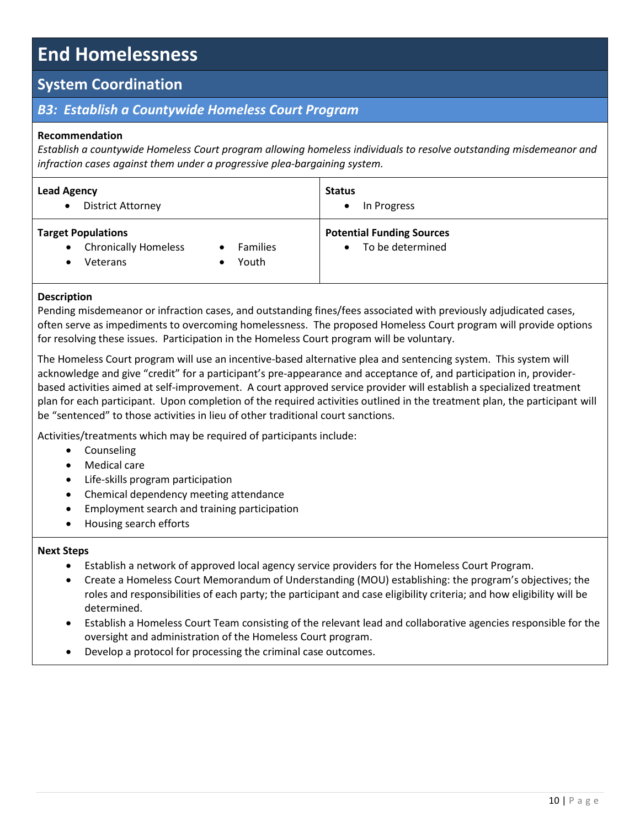## **System Coordination**

## *B3: Establish a Countywide Homeless Court Program*

### **Recommendation**

*Establish a countywide Homeless Court program allowing homeless individuals to resolve outstanding misdemeanor and infraction cases against them under a progressive plea-bargaining system.*

| <b>Lead Agency</b>          | <b>Status</b>                    |
|-----------------------------|----------------------------------|
| <b>District Attorney</b>    | In Progress                      |
| $\bullet$                   | $\bullet$                        |
| <b>Target Populations</b>   | <b>Potential Funding Sources</b> |
| <b>Chronically Homeless</b> | To be determined                 |
| $\bullet$                   | <b>Families</b>                  |
| Veterans                    | $\bullet$                        |
|                             | Youth                            |

#### **Description**

Pending misdemeanor or infraction cases, and outstanding fines/fees associated with previously adjudicated cases, often serve as impediments to overcoming homelessness. The proposed Homeless Court program will provide options for resolving these issues. Participation in the Homeless Court program will be voluntary.

The Homeless Court program will use an incentive-based alternative plea and sentencing system. This system will acknowledge and give "credit" for a participant's pre-appearance and acceptance of, and participation in, providerbased activities aimed at self-improvement. A court approved service provider will establish a specialized treatment plan for each participant. Upon completion of the required activities outlined in the treatment plan, the participant will be "sentenced" to those activities in lieu of other traditional court sanctions.

Activities/treatments which may be required of participants include:

- Counseling
- Medical care
- Life-skills program participation
- Chemical dependency meeting attendance
- Employment search and training participation
- Housing search efforts

- Establish a network of approved local agency service providers for the Homeless Court Program.
- Create a Homeless Court Memorandum of Understanding (MOU) establishing: the program's objectives; the roles and responsibilities of each party; the participant and case eligibility criteria; and how eligibility will be determined.
- Establish a Homeless Court Team consisting of the relevant lead and collaborative agencies responsible for the oversight and administration of the Homeless Court program.
- Develop a protocol for processing the criminal case outcomes.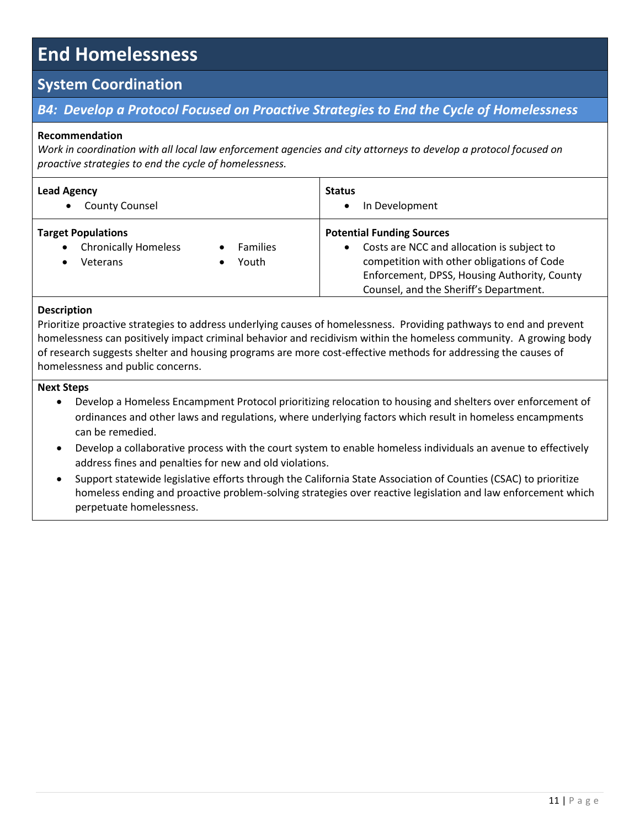## **System Coordination**

## *B4: Develop a Protocol Focused on Proactive Strategies to End the Cycle of Homelessness*

#### **Recommendation**

*Work in coordination with all local law enforcement agencies and city attorneys to develop a protocol focused on proactive strategies to end the cycle of homelessness.*

| <b>Lead Agency</b><br><b>County Counsel</b><br>$\bullet$                          |                               | <b>Status</b><br>In Development<br>$\bullet$                                                                                                                                                                                        |
|-----------------------------------------------------------------------------------|-------------------------------|-------------------------------------------------------------------------------------------------------------------------------------------------------------------------------------------------------------------------------------|
| <b>Target Populations</b><br><b>Chronically Homeless</b><br>$\bullet$<br>Veterans | <b>Families</b><br>Youth<br>٠ | <b>Potential Funding Sources</b><br>Costs are NCC and allocation is subject to<br>$\bullet$<br>competition with other obligations of Code<br>Enforcement, DPSS, Housing Authority, County<br>Counsel, and the Sheriff's Department. |

### **Description**

Prioritize proactive strategies to address underlying causes of homelessness. Providing pathways to end and prevent homelessness can positively impact criminal behavior and recidivism within the homeless community. A growing body of research suggests shelter and housing programs are more cost-effective methods for addressing the causes of homelessness and public concerns.

- Develop a Homeless Encampment Protocol prioritizing relocation to housing and shelters over enforcement of ordinances and other laws and regulations, where underlying factors which result in homeless encampments can be remedied.
- Develop a collaborative process with the court system to enable homeless individuals an avenue to effectively address fines and penalties for new and old violations.
- Support statewide legislative efforts through the California State Association of Counties (CSAC) to prioritize homeless ending and proactive problem-solving strategies over reactive legislation and law enforcement which perpetuate homelessness.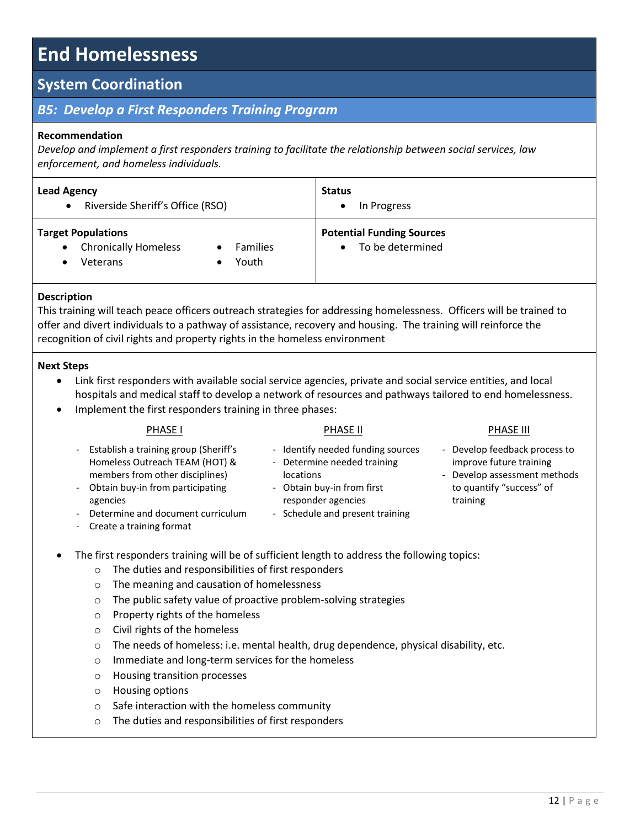## **System Coordination**

## *B5: Develop a First Responders Training Program*

#### **Recommendation**

*Develop and implement a first responders training to facilitate the relationship between social services, law enforcement, and homeless individuals.*

| <b>Lead Agency</b>                                                                                            | <b>Status</b>                                        |
|---------------------------------------------------------------------------------------------------------------|------------------------------------------------------|
| Riverside Sheriff's Office (RSO)                                                                              | In Progress                                          |
| $\bullet$                                                                                                     | ٠                                                    |
| <b>Target Populations</b><br><b>Chronically Homeless</b><br><b>Families</b><br>$\bullet$<br>Youth<br>Veterans | <b>Potential Funding Sources</b><br>To be determined |

#### **Description**

This training will teach peace officers outreach strategies for addressing homelessness. Officers will be trained to offer and divert individuals to a pathway of assistance, recovery and housing. The training will reinforce the recognition of civil rights and property rights in the homeless environment

- Link first responders with available social service agencies, private and social service entities, and local hospitals and medical staff to develop a network of resources and pathways tailored to end homelessness.
	- Implement the first responders training in three phases:

|                                                      | <b>PHASE I</b>                                                                                                                                                                                                                  | PHASE II                                                                                                                                                             | PHASE III                                                                                                                        |
|------------------------------------------------------|---------------------------------------------------------------------------------------------------------------------------------------------------------------------------------------------------------------------------------|----------------------------------------------------------------------------------------------------------------------------------------------------------------------|----------------------------------------------------------------------------------------------------------------------------------|
| $\overline{\phantom{0}}$<br>$\overline{\phantom{0}}$ | Establish a training group (Sheriff's<br>Homeless Outreach TEAM (HOT) &<br>members from other disciplines)<br>Obtain buy-in from participating<br>agencies<br>- Determine and document curriculum<br>- Create a training format | - Identify needed funding sources<br>- Determine needed training<br>locations<br>- Obtain buy-in from first<br>responder agencies<br>- Schedule and present training | - Develop feedback process to<br>improve future training<br>- Develop assessment methods<br>to quantify "success" of<br>training |
|                                                      |                                                                                                                                                                                                                                 |                                                                                                                                                                      |                                                                                                                                  |

- The first responders training will be of sufficient length to address the following topics:
	- o The duties and responsibilities of first responders
	- o The meaning and causation of homelessness
	- o The public safety value of proactive problem-solving strategies
	- o Property rights of the homeless
	- o Civil rights of the homeless
	- $\circ$  The needs of homeless: i.e. mental health, drug dependence, physical disability, etc.
	- o Immediate and long-term services for the homeless
	- o Housing transition processes
	- o Housing options
	- o Safe interaction with the homeless community
	- o The duties and responsibilities of first responders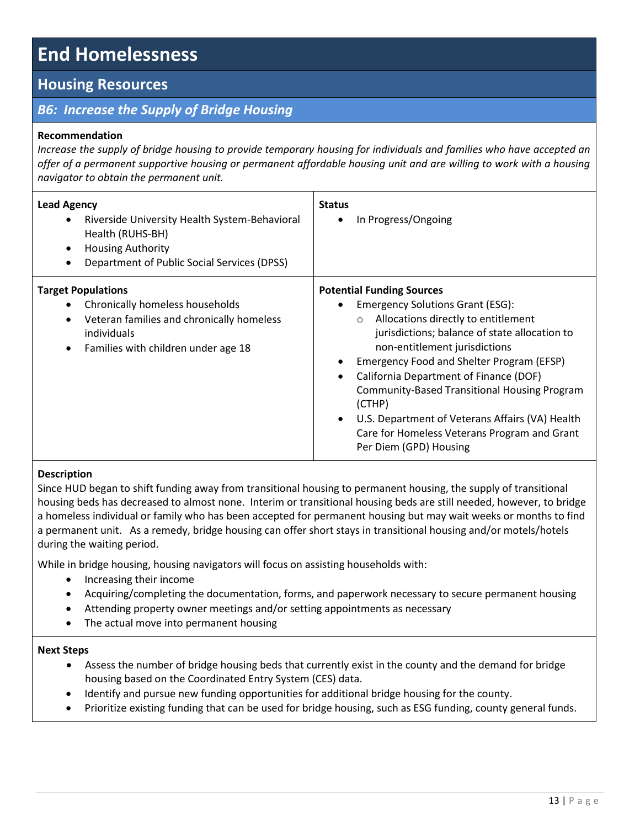## **Housing Resources**

## *B6: Increase the Supply of Bridge Housing*

### **Recommendation**

*Increase the supply of bridge housing to provide temporary housing for individuals and families who have accepted an offer of a permanent supportive housing or permanent affordable housing unit and are willing to work with a housing navigator to obtain the permanent unit.*

| <b>Lead Agency</b><br>Riverside University Health System-Behavioral<br>$\bullet$<br>Health (RUHS-BH)<br><b>Housing Authority</b><br>$\bullet$<br>Department of Public Social Services (DPSS) | <b>Status</b><br>In Progress/Ongoing                                                                                                                                                                                                                                                                                                                                                                                                                                                                                                                     |
|----------------------------------------------------------------------------------------------------------------------------------------------------------------------------------------------|----------------------------------------------------------------------------------------------------------------------------------------------------------------------------------------------------------------------------------------------------------------------------------------------------------------------------------------------------------------------------------------------------------------------------------------------------------------------------------------------------------------------------------------------------------|
| <b>Target Populations</b><br>Chronically homeless households<br>Veteran families and chronically homeless<br>$\bullet$<br>individuals<br>Families with children under age 18<br>$\bullet$    | <b>Potential Funding Sources</b><br><b>Emergency Solutions Grant (ESG):</b><br>$\bullet$<br>Allocations directly to entitlement<br>$\circ$<br>jurisdictions; balance of state allocation to<br>non-entitlement jurisdictions<br>Emergency Food and Shelter Program (EFSP)<br>$\bullet$<br>California Department of Finance (DOF)<br>$\bullet$<br><b>Community-Based Transitional Housing Program</b><br>(CTHP)<br>U.S. Department of Veterans Affairs (VA) Health<br>$\bullet$<br>Care for Homeless Veterans Program and Grant<br>Per Diem (GPD) Housing |

#### **Description**

Since HUD began to shift funding away from transitional housing to permanent housing, the supply of transitional housing beds has decreased to almost none. Interim or transitional housing beds are still needed, however, to bridge a homeless individual or family who has been accepted for permanent housing but may wait weeks or months to find a permanent unit. As a remedy, bridge housing can offer short stays in transitional housing and/or motels/hotels during the waiting period.

While in bridge housing, housing navigators will focus on assisting households with:

- Increasing their income
- Acquiring/completing the documentation, forms, and paperwork necessary to secure permanent housing
- Attending property owner meetings and/or setting appointments as necessary
- The actual move into permanent housing

- Assess the number of bridge housing beds that currently exist in the county and the demand for bridge housing based on the Coordinated Entry System (CES) data.
- Identify and pursue new funding opportunities for additional bridge housing for the county.
- Prioritize existing funding that can be used for bridge housing, such as ESG funding, county general funds.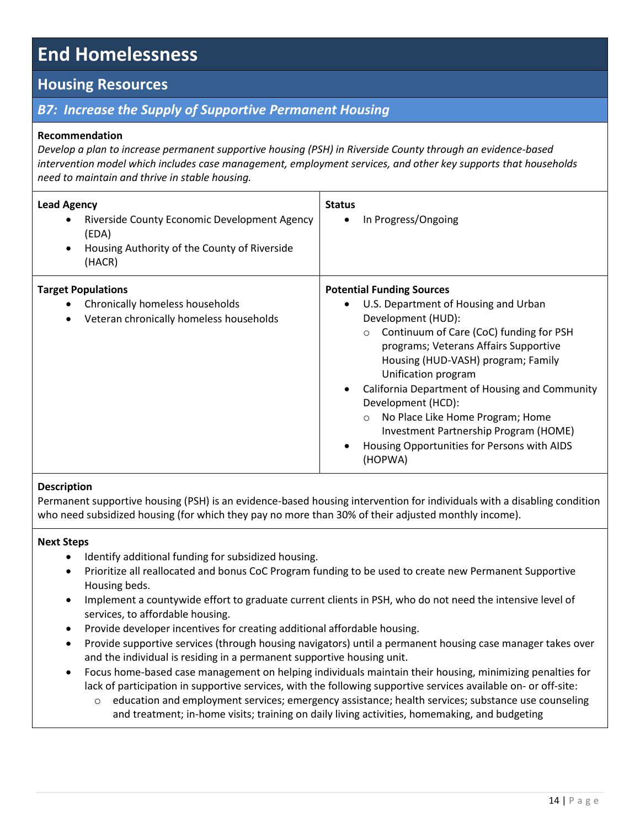## **Housing Resources**

## *B7: Increase the Supply of Supportive Permanent Housing*

### **Recommendation**

*Develop a plan to increase permanent supportive housing (PSH) in Riverside County through an evidence-based intervention model which includes case management, employment services, and other key supports that households need to maintain and thrive in stable housing.*

| <b>Lead Agency</b><br>Riverside County Economic Development Agency<br>$\bullet$<br>(EDA)<br>Housing Authority of the County of Riverside<br>$\bullet$<br>(HACR) | <b>Status</b><br>In Progress/Ongoing                                                                                                                                                                                                                                                                                                                                                                                                                                                 |
|-----------------------------------------------------------------------------------------------------------------------------------------------------------------|--------------------------------------------------------------------------------------------------------------------------------------------------------------------------------------------------------------------------------------------------------------------------------------------------------------------------------------------------------------------------------------------------------------------------------------------------------------------------------------|
| <b>Target Populations</b><br>Chronically homeless households<br>Veteran chronically homeless households<br>$\bullet$                                            | <b>Potential Funding Sources</b><br>U.S. Department of Housing and Urban<br>Development (HUD):<br>Continuum of Care (CoC) funding for PSH<br>$\circ$<br>programs; Veterans Affairs Supportive<br>Housing (HUD-VASH) program; Family<br>Unification program<br>California Department of Housing and Community<br>Development (HCD):<br>No Place Like Home Program; Home<br>$\circ$<br>Investment Partnership Program (HOME)<br>Housing Opportunities for Persons with AIDS<br>(HOPWA) |

#### **Description**

Permanent supportive housing (PSH) is an evidence-based housing intervention for individuals with a disabling condition who need subsidized housing (for which they pay no more than 30% of their adjusted monthly income).

- Identify additional funding for subsidized housing.
- Prioritize all reallocated and bonus CoC Program funding to be used to create new Permanent Supportive Housing beds.
- Implement a countywide effort to graduate current clients in PSH, who do not need the intensive level of services, to affordable housing.
- Provide developer incentives for creating additional affordable housing.
- Provide supportive services (through housing navigators) until a permanent housing case manager takes over and the individual is residing in a permanent supportive housing unit.
- Focus home-based case management on helping individuals maintain their housing, minimizing penalties for lack of participation in supportive services, with the following supportive services available on- or off-site:
	- o education and employment services; emergency assistance; health services; substance use counseling and treatment; in-home visits; training on daily living activities, homemaking, and budgeting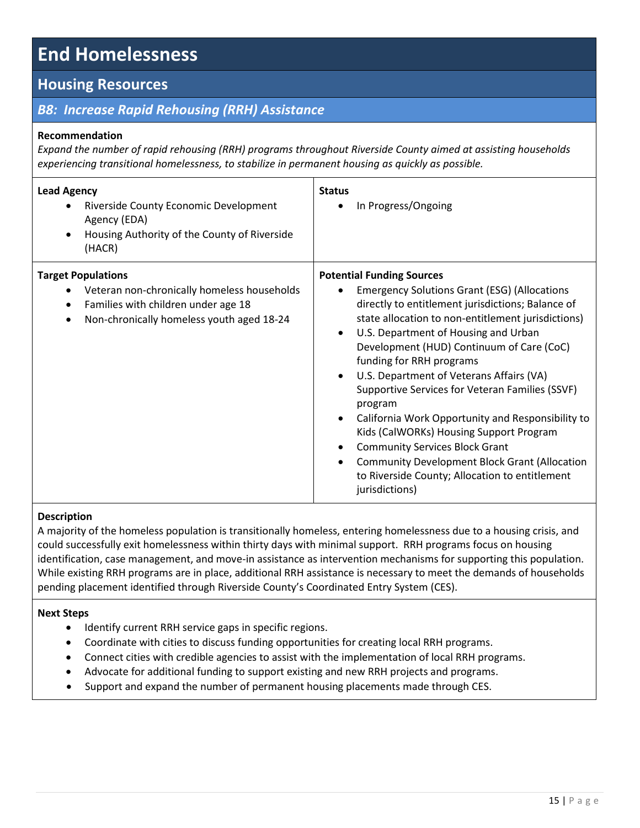## **Housing Resources**

## *B8: Increase Rapid Rehousing (RRH) Assistance*

#### **Recommendation**

*Expand the number of rapid rehousing (RRH) programs throughout Riverside County aimed at assisting households experiencing transitional homelessness, to stabilize in permanent housing as quickly as possible.* 

| <b>Lead Agency</b><br>Riverside County Economic Development<br>Agency (EDA)<br>Housing Authority of the County of Riverside<br>$\bullet$<br>(HACR)                        | <b>Status</b><br>In Progress/Ongoing                                                                                                                                                                                                                                                                                                                                                                                                                                                                                                                                                                                                                                                                            |
|---------------------------------------------------------------------------------------------------------------------------------------------------------------------------|-----------------------------------------------------------------------------------------------------------------------------------------------------------------------------------------------------------------------------------------------------------------------------------------------------------------------------------------------------------------------------------------------------------------------------------------------------------------------------------------------------------------------------------------------------------------------------------------------------------------------------------------------------------------------------------------------------------------|
| <b>Target Populations</b><br>Veteran non-chronically homeless households<br>Families with children under age 18<br>$\bullet$<br>Non-chronically homeless youth aged 18-24 | <b>Potential Funding Sources</b><br><b>Emergency Solutions Grant (ESG) (Allocations</b><br>directly to entitlement jurisdictions; Balance of<br>state allocation to non-entitlement jurisdictions)<br>U.S. Department of Housing and Urban<br>Development (HUD) Continuum of Care (CoC)<br>funding for RRH programs<br>U.S. Department of Veterans Affairs (VA)<br>Supportive Services for Veteran Families (SSVF)<br>program<br>California Work Opportunity and Responsibility to<br>Kids (CalWORKs) Housing Support Program<br><b>Community Services Block Grant</b><br><b>Community Development Block Grant (Allocation</b><br>$\bullet$<br>to Riverside County; Allocation to entitlement<br>jurisdictions) |

## **Description**

A majority of the homeless population is transitionally homeless, entering homelessness due to a housing crisis, and could successfully exit homelessness within thirty days with minimal support. RRH programs focus on housing identification, case management, and move-in assistance as intervention mechanisms for supporting this population. While existing RRH programs are in place, additional RRH assistance is necessary to meet the demands of households pending placement identified through Riverside County's Coordinated Entry System (CES).

- $\bullet$  Identify current RRH service gaps in specific regions.
- Coordinate with cities to discuss funding opportunities for creating local RRH programs.
- Connect cities with credible agencies to assist with the implementation of local RRH programs.
- Advocate for additional funding to support existing and new RRH projects and programs.
- Support and expand the number of permanent housing placements made through CES.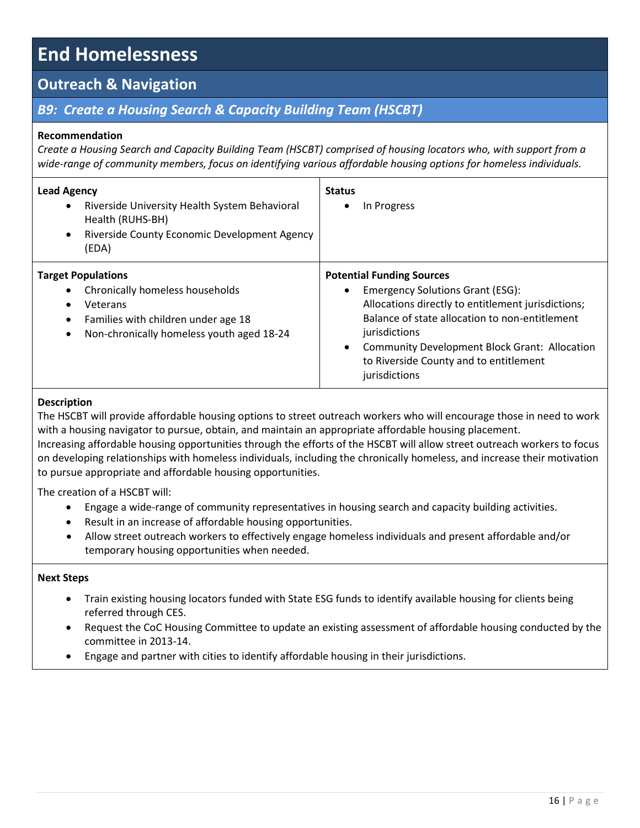## **Outreach & Navigation**

## **B9: Create a Housing Search & Capacity Building Team (HSCBT)**

#### **Recommendation**

*Create a Housing Search and Capacity Building Team (HSCBT) comprised of housing locators who, with support from a wide-range of community members, focus on identifying various affordable housing options for homeless individuals.* 

| <b>Lead Agency</b><br>Riverside University Health System Behavioral<br>$\bullet$<br>Health (RUHS-BH)<br>Riverside County Economic Development Agency<br>$\bullet$<br>(EDA)                          | <b>Status</b><br>In Progress                                                                                                                                                                                                                                                                                            |
|-----------------------------------------------------------------------------------------------------------------------------------------------------------------------------------------------------|-------------------------------------------------------------------------------------------------------------------------------------------------------------------------------------------------------------------------------------------------------------------------------------------------------------------------|
| <b>Target Populations</b><br>Chronically homeless households<br>$\bullet$<br>Veterans<br>Families with children under age 18<br>$\bullet$<br>Non-chronically homeless youth aged 18-24<br>$\bullet$ | <b>Potential Funding Sources</b><br><b>Emergency Solutions Grant (ESG):</b><br>Allocations directly to entitlement jurisdictions;<br>Balance of state allocation to non-entitlement<br>jurisdictions<br><b>Community Development Block Grant: Allocation</b><br>to Riverside County and to entitlement<br>jurisdictions |

#### **Description**

The HSCBT will provide affordable housing options to street outreach workers who will encourage those in need to work with a housing navigator to pursue, obtain, and maintain an appropriate affordable housing placement. Increasing affordable housing opportunities through the efforts of the HSCBT will allow street outreach workers to focus on developing relationships with homeless individuals, including the chronically homeless, and increase their motivation to pursue appropriate and affordable housing opportunities.

The creation of a HSCBT will:

- Engage a wide-range of community representatives in housing search and capacity building activities.
- Result in an increase of affordable housing opportunities.
- Allow street outreach workers to effectively engage homeless individuals and present affordable and/or temporary housing opportunities when needed.

- Train existing housing locators funded with State ESG funds to identify available housing for clients being referred through CES.
- Request the CoC Housing Committee to update an existing assessment of affordable housing conducted by the committee in 2013-14.
- Engage and partner with cities to identify affordable housing in their jurisdictions.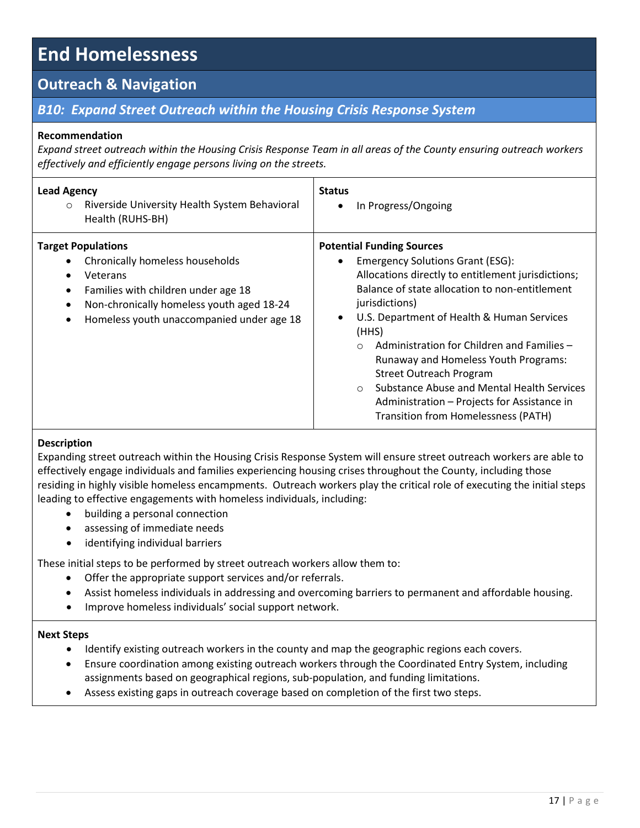## **Outreach & Navigation**

## *B10: Expand Street Outreach within the Housing Crisis Response System*

### **Recommendation**

*Expand street outreach within the Housing Crisis Response Team in all areas of the County ensuring outreach workers effectively and efficiently engage persons living on the streets.*

| <b>Lead Agency</b><br>Riverside University Health System Behavioral<br>$\circ$<br>Health (RUHS-BH)                                                                                                                                                            | <b>Status</b><br>In Progress/Ongoing                                                                                                                                                                                                                                                                                                                                                                                                                                                                                                           |
|---------------------------------------------------------------------------------------------------------------------------------------------------------------------------------------------------------------------------------------------------------------|------------------------------------------------------------------------------------------------------------------------------------------------------------------------------------------------------------------------------------------------------------------------------------------------------------------------------------------------------------------------------------------------------------------------------------------------------------------------------------------------------------------------------------------------|
| <b>Target Populations</b><br>Chronically homeless households<br>Veterans<br>$\bullet$<br>Families with children under age 18<br>$\bullet$<br>Non-chronically homeless youth aged 18-24<br>$\bullet$<br>Homeless youth unaccompanied under age 18<br>$\bullet$ | <b>Potential Funding Sources</b><br><b>Emergency Solutions Grant (ESG):</b><br>Allocations directly to entitlement jurisdictions;<br>Balance of state allocation to non-entitlement<br>jurisdictions)<br>U.S. Department of Health & Human Services<br>(HHS)<br>Administration for Children and Families -<br>$\circ$<br>Runaway and Homeless Youth Programs:<br><b>Street Outreach Program</b><br>Substance Abuse and Mental Health Services<br>$\circ$<br>Administration - Projects for Assistance in<br>Transition from Homelessness (PATH) |

### **Description**

Expanding street outreach within the Housing Crisis Response System will ensure street outreach workers are able to effectively engage individuals and families experiencing housing crises throughout the County, including those residing in highly visible homeless encampments. Outreach workers play the critical role of executing the initial steps leading to effective engagements with homeless individuals, including:

- building a personal connection
- assessing of immediate needs
- identifying individual barriers

These initial steps to be performed by street outreach workers allow them to:

- Offer the appropriate support services and/or referrals.
- Assist homeless individuals in addressing and overcoming barriers to permanent and affordable housing.
- Improve homeless individuals' social support network.

- Identify existing outreach workers in the county and map the geographic regions each covers.
- Ensure coordination among existing outreach workers through the Coordinated Entry System, including assignments based on geographical regions, sub-population, and funding limitations.
- Assess existing gaps in outreach coverage based on completion of the first two steps.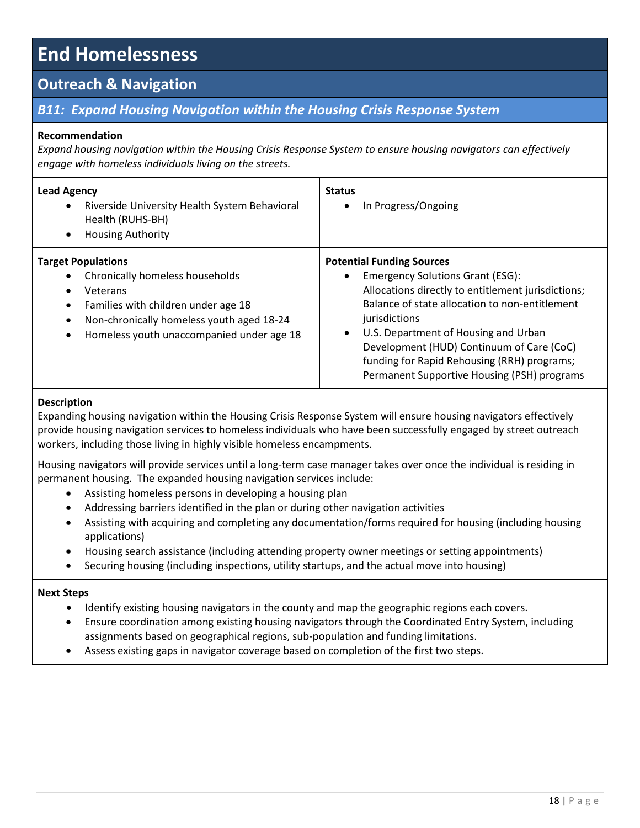## **Outreach & Navigation**

## *B11: Expand Housing Navigation within the Housing Crisis Response System*

### **Recommendation**

*Expand housing navigation within the Housing Crisis Response System to ensure housing navigators can effectively engage with homeless individuals living on the streets.* 

| <b>Lead Agency</b><br>Riverside University Health System Behavioral<br>$\bullet$<br>Health (RUHS-BH)<br><b>Housing Authority</b><br>$\bullet$                                                                                                                 | <b>Status</b><br>In Progress/Ongoing                                                                                                                                                                                                                                                                                                                                                    |
|---------------------------------------------------------------------------------------------------------------------------------------------------------------------------------------------------------------------------------------------------------------|-----------------------------------------------------------------------------------------------------------------------------------------------------------------------------------------------------------------------------------------------------------------------------------------------------------------------------------------------------------------------------------------|
| <b>Target Populations</b><br>Chronically homeless households<br>Veterans<br>$\bullet$<br>Families with children under age 18<br>$\bullet$<br>Non-chronically homeless youth aged 18-24<br>$\bullet$<br>Homeless youth unaccompanied under age 18<br>$\bullet$ | <b>Potential Funding Sources</b><br><b>Emergency Solutions Grant (ESG):</b><br>Allocations directly to entitlement jurisdictions;<br>Balance of state allocation to non-entitlement<br>jurisdictions<br>U.S. Department of Housing and Urban<br>Development (HUD) Continuum of Care (CoC)<br>funding for Rapid Rehousing (RRH) programs;<br>Permanent Supportive Housing (PSH) programs |

#### **Description**

Expanding housing navigation within the Housing Crisis Response System will ensure housing navigators effectively provide housing navigation services to homeless individuals who have been successfully engaged by street outreach workers, including those living in highly visible homeless encampments.

Housing navigators will provide services until a long-term case manager takes over once the individual is residing in permanent housing. The expanded housing navigation services include:

- Assisting homeless persons in developing a housing plan
- Addressing barriers identified in the plan or during other navigation activities
- Assisting with acquiring and completing any documentation/forms required for housing (including housing applications)
- Housing search assistance (including attending property owner meetings or setting appointments)
- Securing housing (including inspections, utility startups, and the actual move into housing)

- Identify existing housing navigators in the county and map the geographic regions each covers.
- Ensure coordination among existing housing navigators through the Coordinated Entry System, including assignments based on geographical regions, sub-population and funding limitations.
- Assess existing gaps in navigator coverage based on completion of the first two steps.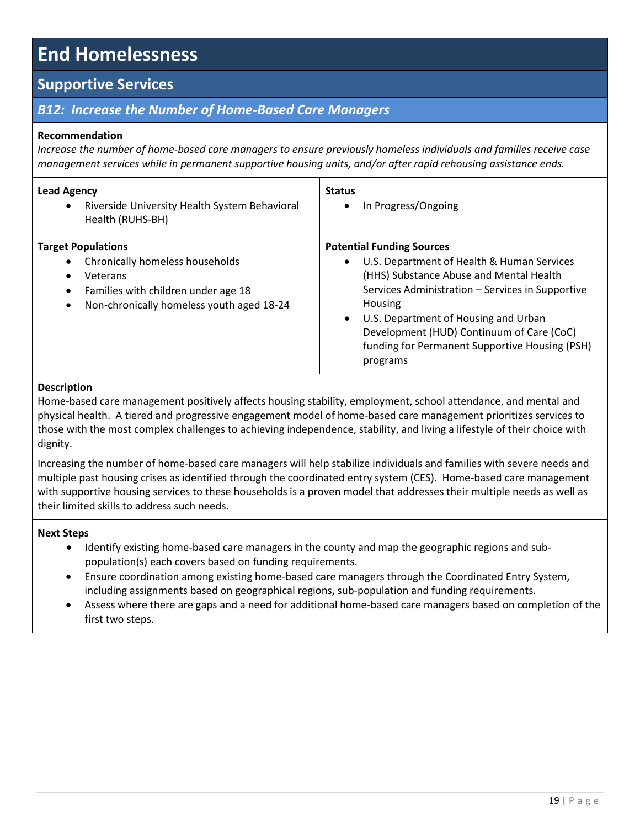## **Supportive Services**

## *B12: Increase the Number of Home-Based Care Managers*

### **Recommendation**

*Increase the number of home-based care managers to ensure previously homeless individuals and families receive case management services while in permanent supportive housing units, and/or after rapid rehousing assistance ends.* 

| <b>Lead Agency</b><br>Riverside University Health System Behavioral<br>$\bullet$<br>Health (RUHS-BH)                                                                                                | <b>Status</b><br>In Progress/Ongoing                                                                                                                                                                                                                                                                                                                     |
|-----------------------------------------------------------------------------------------------------------------------------------------------------------------------------------------------------|----------------------------------------------------------------------------------------------------------------------------------------------------------------------------------------------------------------------------------------------------------------------------------------------------------------------------------------------------------|
| <b>Target Populations</b><br>Chronically homeless households<br>Veterans<br>$\bullet$<br>Families with children under age 18<br>$\bullet$<br>Non-chronically homeless youth aged 18-24<br>$\bullet$ | <b>Potential Funding Sources</b><br>U.S. Department of Health & Human Services<br>(HHS) Substance Abuse and Mental Health<br>Services Administration - Services in Supportive<br>Housing<br>U.S. Department of Housing and Urban<br>$\bullet$<br>Development (HUD) Continuum of Care (CoC)<br>funding for Permanent Supportive Housing (PSH)<br>programs |

#### **Description**

Home-based care management positively affects housing stability, employment, school attendance, and mental and physical health. A tiered and progressive engagement model of home-based care management prioritizes services to those with the most complex challenges to achieving independence, stability, and living a lifestyle of their choice with dignity.

Increasing the number of home-based care managers will help stabilize individuals and families with severe needs and multiple past housing crises as identified through the coordinated entry system (CES). Home-based care management with supportive housing services to these households is a proven model that addresses their multiple needs as well as their limited skills to address such needs.

- Identify existing home-based care managers in the county and map the geographic regions and subpopulation(s) each covers based on funding requirements.
- Ensure coordination among existing home-based care managers through the Coordinated Entry System, including assignments based on geographical regions, sub-population and funding requirements.
- Assess where there are gaps and a need for additional home-based care managers based on completion of the first two steps.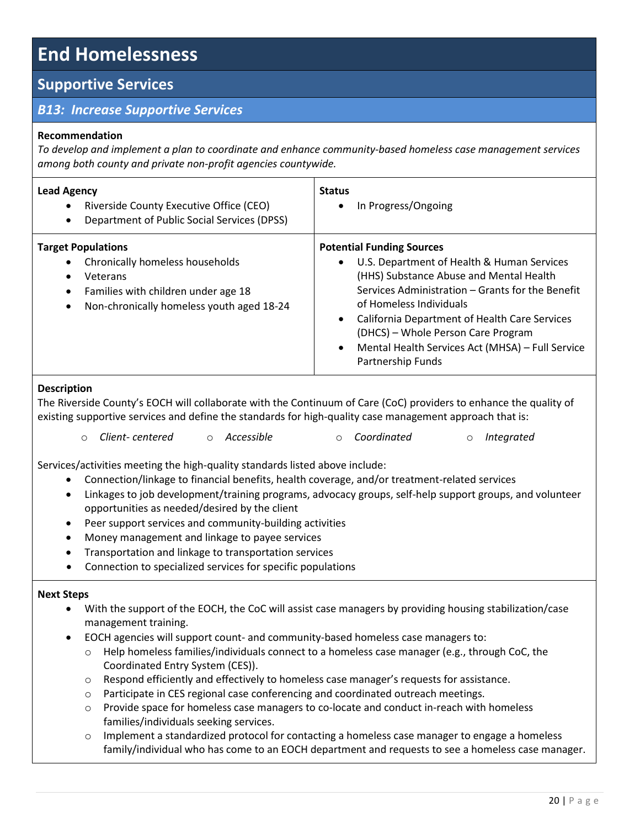## **Supportive Services**

## *B13: Increase Supportive Services*

## **Recommendation**

*To develop and implement a plan to coordinate and enhance community-based homeless case management services among both county and private non-profit agencies countywide.* 

| <b>Lead Agency</b><br>Riverside County Executive Office (CEO)<br>$\bullet$<br>Department of Public Social Services (DPSS)<br>$\bullet$                                                              | <b>Status</b><br>In Progress/Ongoing                                                                                                                                                                                                                                                                                                                                     |
|-----------------------------------------------------------------------------------------------------------------------------------------------------------------------------------------------------|--------------------------------------------------------------------------------------------------------------------------------------------------------------------------------------------------------------------------------------------------------------------------------------------------------------------------------------------------------------------------|
| <b>Target Populations</b><br>Chronically homeless households<br>Veterans<br>$\bullet$<br>Families with children under age 18<br>$\bullet$<br>Non-chronically homeless youth aged 18-24<br>$\bullet$ | <b>Potential Funding Sources</b><br>U.S. Department of Health & Human Services<br>(HHS) Substance Abuse and Mental Health<br>Services Administration - Grants for the Benefit<br>of Homeless Individuals<br>California Department of Health Care Services<br>(DHCS) – Whole Person Care Program<br>Mental Health Services Act (MHSA) - Full Service<br>Partnership Funds |

## **Description**

The Riverside County's EOCH will collaborate with the Continuum of Care (CoC) providers to enhance the quality of existing supportive services and define the standards for high-quality case management approach that is:

|  | ○ Client- centered |  | ○ Accessible | ○ Coordinated |  | o Integrated |
|--|--------------------|--|--------------|---------------|--|--------------|
|--|--------------------|--|--------------|---------------|--|--------------|

Services/activities meeting the high-quality standards listed above include:

- Connection/linkage to financial benefits, health coverage, and/or treatment-related services
- Linkages to job development/training programs, advocacy groups, self-help support groups, and volunteer opportunities as needed/desired by the client
- Peer support services and community-building activities
- Money management and linkage to payee services
- Transportation and linkage to transportation services
- Connection to specialized services for specific populations

- With the support of the EOCH, the CoC will assist case managers by providing housing stabilization/case management training.
- EOCH agencies will support count- and community-based homeless case managers to:
	- o Help homeless families/individuals connect to a homeless case manager (e.g., through CoC, the Coordinated Entry System (CES)).
	- o Respond efficiently and effectively to homeless case manager's requests for assistance.
	- $\circ$  Participate in CES regional case conferencing and coordinated outreach meetings.
	- $\circ$  Provide space for homeless case managers to co-locate and conduct in-reach with homeless families/individuals seeking services.
	- Implement a standardized protocol for contacting a homeless case manager to engage a homeless family/individual who has come to an EOCH department and requests to see a homeless case manager.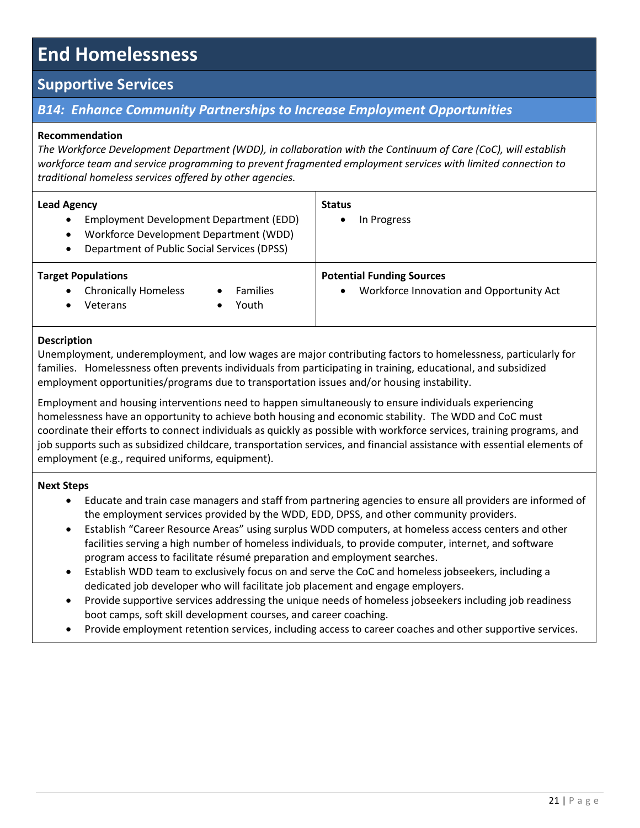## **Supportive Services**

## *B14: Enhance Community Partnerships to Increase Employment Opportunities*

## **Recommendation**

*The Workforce Development Department (WDD), in collaboration with the Continuum of Care (CoC), will establish workforce team and service programming to prevent fragmented employment services with limited connection to traditional homeless services offered by other agencies.* 

| <b>Lead Agency</b><br>Employment Development Department (EDD)<br>$\bullet$<br>Workforce Development Department (WDD)<br>$\bullet$<br>Department of Public Social Services (DPSS)<br>$\bullet$ | <b>Status</b><br>In Progress                                                              |
|-----------------------------------------------------------------------------------------------------------------------------------------------------------------------------------------------|-------------------------------------------------------------------------------------------|
| <b>Target Populations</b><br><b>Chronically Homeless</b><br><b>Families</b><br>$\bullet$<br>Youth<br>Veterans<br>$\bullet$                                                                    | <b>Potential Funding Sources</b><br>Workforce Innovation and Opportunity Act<br>$\bullet$ |

### **Description**

Unemployment, underemployment, and low wages are major contributing factors to homelessness, particularly for families. Homelessness often prevents individuals from participating in training, educational, and subsidized employment opportunities/programs due to transportation issues and/or housing instability.

Employment and housing interventions need to happen simultaneously to ensure individuals experiencing homelessness have an opportunity to achieve both housing and economic stability. The WDD and CoC must coordinate their efforts to connect individuals as quickly as possible with workforce services, training programs, and job supports such as subsidized childcare, transportation services, and financial assistance with essential elements of employment (e.g., required uniforms, equipment).

- Educate and train case managers and staff from partnering agencies to ensure all providers are informed of the employment services provided by the WDD, EDD, DPSS, and other community providers.
- Establish "Career Resource Areas" using surplus WDD computers, at homeless access centers and other facilities serving a high number of homeless individuals, to provide computer, internet, and software program access to facilitate résumé preparation and employment searches.
- Establish WDD team to exclusively focus on and serve the CoC and homeless jobseekers, including a dedicated job developer who will facilitate job placement and engage employers.
- Provide supportive services addressing the unique needs of homeless jobseekers including job readiness boot camps, soft skill development courses, and career coaching.
- Provide employment retention services, including access to career coaches and other supportive services.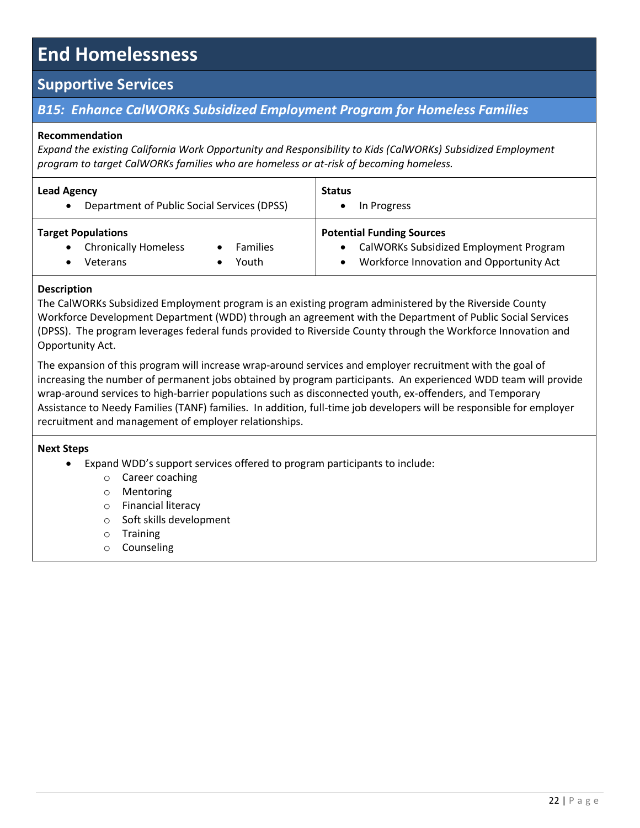## **Supportive Services**

## *B15: Enhance CalWORKs Subsidized Employment Program for Homeless Families*

### **Recommendation**

*Expand the existing California Work Opportunity and Responsibility to Kids (CalWORKs) Subsidized Employment program to target CalWORKs families who are homeless or at-risk of becoming homeless.* 

| <b>Lead Agency</b><br>Department of Public Social Services (DPSS)<br>$\bullet$                                             | <b>Status</b><br>In Progress                                                                                           |  |
|----------------------------------------------------------------------------------------------------------------------------|------------------------------------------------------------------------------------------------------------------------|--|
| <b>Target Populations</b><br><b>Chronically Homeless</b><br><b>Families</b><br>$\bullet$<br>Youth<br>Veterans<br>$\bullet$ | <b>Potential Funding Sources</b><br>CalWORKs Subsidized Employment Program<br>Workforce Innovation and Opportunity Act |  |

## **Description**

The CalWORKs Subsidized Employment program is an existing program administered by the Riverside County Workforce Development Department (WDD) through an agreement with the Department of Public Social Services (DPSS). The program leverages federal funds provided to Riverside County through the Workforce Innovation and Opportunity Act.

The expansion of this program will increase wrap-around services and employer recruitment with the goal of increasing the number of permanent jobs obtained by program participants. An experienced WDD team will provide wrap-around services to high-barrier populations such as disconnected youth, ex-offenders, and Temporary Assistance to Needy Families (TANF) families. In addition, full-time job developers will be responsible for employer recruitment and management of employer relationships.

- Expand WDD's support services offered to program participants to include:
	- o Career coaching
	- o Mentoring
	- o Financial literacy
	- o Soft skills development
	- o Training
	- o Counseling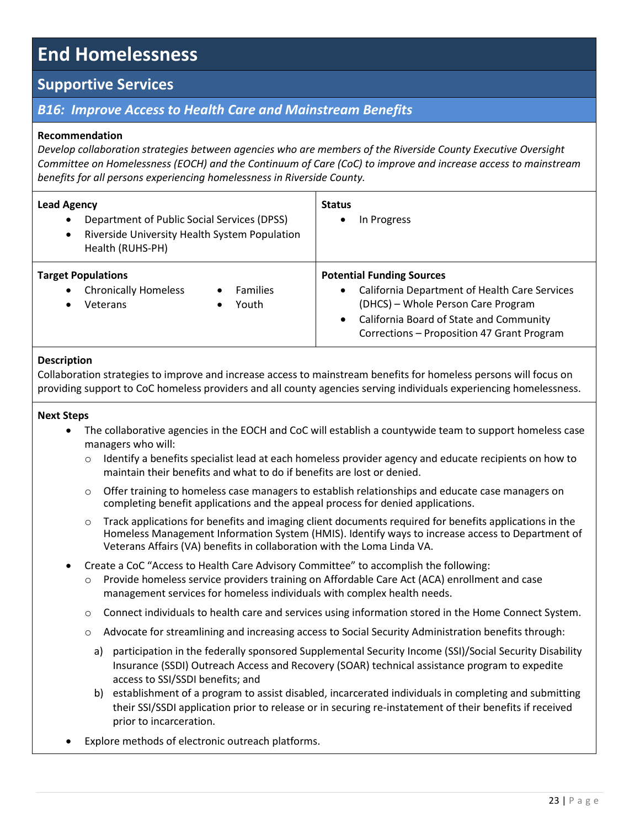## **Supportive Services**

## *B16: Improve Access to Health Care and Mainstream Benefits*

### **Recommendation**

*Develop collaboration strategies between agencies who are members of the Riverside County Executive Oversight Committee on Homelessness (EOCH) and the Continuum of Care (CoC) to improve and increase access to mainstream benefits for all persons experiencing homelessness in Riverside County.*

| <b>Lead Agency</b><br>Department of Public Social Services (DPSS)<br>$\bullet$<br>Riverside University Health System Population<br>$\bullet$<br>Health (RUHS-PH) | <b>Status</b><br>In Progress                                                                                                                                                                                                               |  |
|------------------------------------------------------------------------------------------------------------------------------------------------------------------|--------------------------------------------------------------------------------------------------------------------------------------------------------------------------------------------------------------------------------------------|--|
| <b>Target Populations</b><br><b>Chronically Homeless</b><br><b>Families</b><br>$\bullet$<br>$\bullet$<br>Youth<br>Veterans<br>$\bullet$                          | <b>Potential Funding Sources</b><br>California Department of Health Care Services<br>$\bullet$<br>(DHCS) - Whole Person Care Program<br>California Board of State and Community<br>$\bullet$<br>Corrections - Proposition 47 Grant Program |  |

### **Description**

Collaboration strategies to improve and increase access to mainstream benefits for homeless persons will focus on providing support to CoC homeless providers and all county agencies serving individuals experiencing homelessness.

- The collaborative agencies in the EOCH and CoC will establish a countywide team to support homeless case managers who will:
	- $\circ$  Identify a benefits specialist lead at each homeless provider agency and educate recipients on how to maintain their benefits and what to do if benefits are lost or denied.
	- $\circ$  Offer training to homeless case managers to establish relationships and educate case managers on completing benefit applications and the appeal process for denied applications.
	- $\circ$  Track applications for benefits and imaging client documents required for benefits applications in the Homeless Management Information System (HMIS). Identify ways to increase access to Department of Veterans Affairs (VA) benefits in collaboration with the Loma Linda VA.
- Create a CoC "Access to Health Care Advisory Committee" to accomplish the following:
	- Provide homeless service providers training on Affordable Care Act (ACA) enrollment and case management services for homeless individuals with complex health needs.
	- $\circ$  Connect individuals to health care and services using information stored in the Home Connect System.
	- o Advocate for streamlining and increasing access to Social Security Administration benefits through:
		- a) participation in the federally sponsored Supplemental Security Income (SSI)/Social Security Disability Insurance (SSDI) Outreach Access and Recovery (SOAR) technical assistance program to expedite access to SSI/SSDI benefits; and
		- b) establishment of a program to assist disabled, incarcerated individuals in completing and submitting their SSI/SSDI application prior to release or in securing re-instatement of their benefits if received prior to incarceration.
- Explore methods of electronic outreach platforms.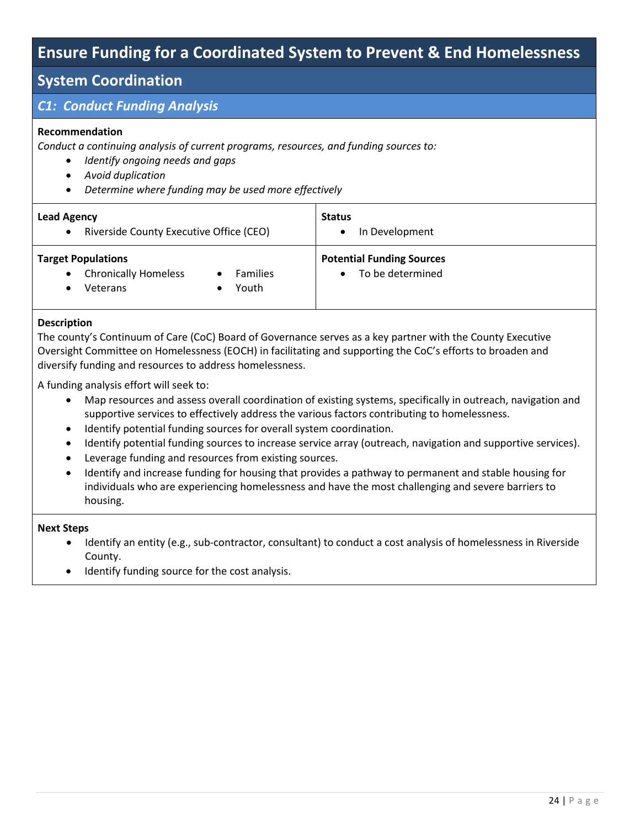## **Ensure Funding for a Coordinated System to Prevent & End Homelessness**

## **System Coordination**

## *C1: Conduct Funding Analysis*

## **Recommendation**

*Conduct a continuing analysis of current programs, resources, and funding sources to:* 

- *Identify ongoing needs and gaps*
- *Avoid duplication*
- *Determine where funding may be used more effectively*

| <b>Lead Agency</b><br>Riverside County Executive Office (CEO)<br>$\bullet$                                         | <b>Status</b><br>In Development                      |
|--------------------------------------------------------------------------------------------------------------------|------------------------------------------------------|
| <b>Target Populations</b><br><b>Chronically Homeless</b><br><b>Families</b><br>$\bullet$<br>Youth<br>Veterans<br>٠ | <b>Potential Funding Sources</b><br>To be determined |

### **Description**

The county's Continuum of Care (CoC) Board of Governance serves as a key partner with the County Executive Oversight Committee on Homelessness (EOCH) in facilitating and supporting the CoC's efforts to broaden and diversify funding and resources to address homelessness.

A funding analysis effort will seek to:

- Map resources and assess overall coordination of existing systems, specifically in outreach, navigation and supportive services to effectively address the various factors contributing to homelessness.
- $\bullet$  Identify potential funding sources for overall system coordination.
- Identify potential funding sources to increase service array (outreach, navigation and supportive services).
- Leverage funding and resources from existing sources.
- Identify and increase funding for housing that provides a pathway to permanent and stable housing for individuals who are experiencing homelessness and have the most challenging and severe barriers to housing.

- Identify an entity (e.g., sub-contractor, consultant) to conduct a cost analysis of homelessness in Riverside County.
- Identify funding source for the cost analysis.